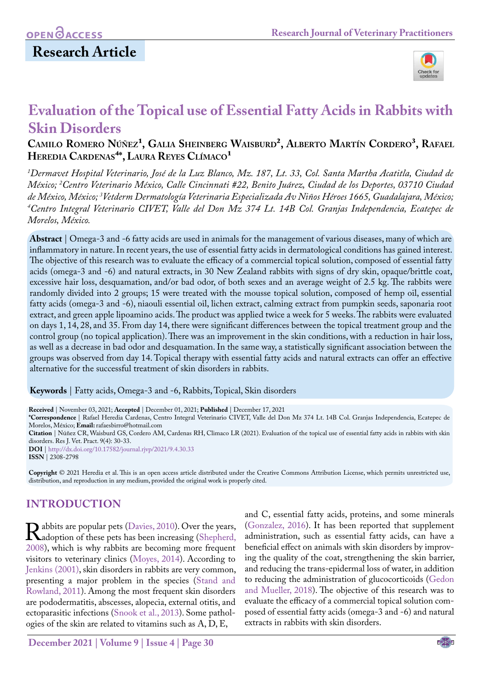

# **Evaluation of the Topical use of Essential Fatty Acids in Rabbits with Skin Disorders**

### CAMILO ROMERO NÚÑEZ<sup>1</sup>, GALIA SHEINBERG WAISBURD<sup>2</sup>, ALBERTO MARTÍN CORDERO<sup>3</sup>, RAFAEL HEREDIA CARDENAS<sup>4\*</sup>, LAURA REYES CLÍMACO<sup>1</sup>

*1 Dermavet Hospital Veterinario, José de la Luz Blanco, Mz. 187, Lt. 33, Col. Santa Martha Acatitla, Ciudad de México; 2 Centro Veterinario México, Calle Cincinnati #22, Benito Juárez, Ciudad de los Deportes, 03710 Ciudad de México, México; 3 Vetderm Dermatología Veterinaria Especializada Av Niños Héroes 1665, Guadalajara, México; 4 Centro Integral Veterinario CIVET, Valle del Don Mz 374 Lt. 14B Col. Granjas Independencia, Ecatepec de Morelos, México.* 

**Abstract** | Omega-3 and -6 fatty acids are used in animals for the management of various diseases, many of which are inflammatory in nature. In recent years, the use of essential fatty acids in dermatological conditions has gained interest. The objective of this research was to evaluate the efficacy of a commercial topical solution, composed of essential fatty acids (omega-3 and -6) and natural extracts, in 30 New Zealand rabbits with signs of dry skin, opaque/brittle coat, excessive hair loss, desquamation, and/or bad odor, of both sexes and an average weight of 2.5 kg. The rabbits were randomly divided into 2 groups; 15 were treated with the mousse topical solution, composed of hemp oil, essential fatty acids (omega-3 and -6), niaouli essential oil, lichen extract, calming extract from pumpkin seeds, saponaria root extract, and green apple lipoamino acids. The product was applied twice a week for 5 weeks. The rabbits were evaluated on days 1, 14, 28, and 35. From day 14, there were significant differences between the topical treatment group and the control group (no topical application). There was an improvement in the skin conditions, with a reduction in hair loss, as well as a decrease in bad odor and desquamation. In the same way, a statistically significant association between the groups was observed from day 14. Topical therapy with essential fatty acids and natural extracts can offer an effective alternative for the successful treatment of skin disorders in rabbits.

**Keywords** | Fatty acids, Omega-3 and -6, Rabbits, Topical, Skin disorders

**Received** | November 03, 2021; **Accepted** | December 01, 2021; **Published** | December 17, 2021

**\*Correspondence** | Rafael Heredia Cardenas, Centro Integral Veterinario CIVET, Valle del Don Mz 374 Lt. 14B Col. Granjas Independencia, Ecatepec de Morelos, México; **Email:** rafaesbirro@hotmail.com

**Citation** | Núñez CR, Waisburd GS, Cordero AM, Cardenas RH, Climaco LR (2021). Evaluation of the topical use of essential fatty acids in rabbits with skin disorders. Res J. Vet. Pract. 9(4): 30-33.

**DOI** | [http://dx.doi.org/10.17582/journal.rjvp/202](http://dx.doi.org/10.17582/journal.rjvp/2021/9.4.30.33)1/9.4.30.33 **ISSN** | 2308-2798

**Copyright** © 2021 Heredia et al. This is an open access article distributed under the Creative Commons Attribution License, which permits unrestricted use, distribution, and reproduction in any medium, provided the original work is properly cited.

## **INTRODUCTION**

**R**abbits are popular pets [\(Davies, 2010\)](#page-3-0). Over the years,<br>
2008) which is why rabbits are becoming more frequent 2008), which is why rabbits are becoming more frequent visitors to veterinary clinics [\(Moyes, 2014](#page-3-1)). According to [Jenkins \(2001\)](#page-3-2), skin disorders in rabbits are very common, presenting a major problem in the species ([Stand and](#page-3-3) [Rowland, 2011\)](#page-3-3). Among the most frequent skin disorders are pododermatitis, abscesses, alopecia, external otitis, and ectoparasitic infections [\(Snook et al., 2013](#page-3-4)). Some pathologies of the skin are related to vitamins such as A, D, E,

and C, essential fatty acids, proteins, and some minerals (Gonzalez, 2016). It has been reported that supplement administration, such as essential fatty acids, can have a beneficial effect on animals with skin disorders by improving the quality of the coat, strengthening the skin barrier, and reducing the trans-epidermal loss of water, in addition to reducing the administration of glucocorticoids [\(Gedon](#page-3-5) [and Mueller, 2018](#page-3-5)). The objective of this research was to evaluate the efficacy of a commercial topical solution composed of essential fatty acids (omega-3 and -6) and natural extracts in rabbits with skin disorders.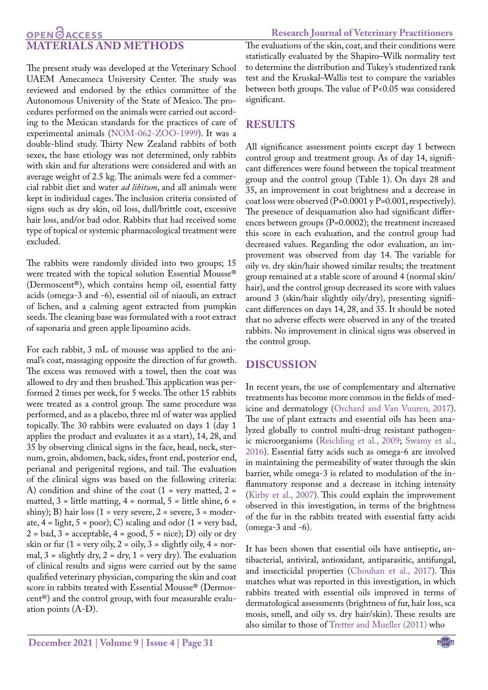## **OPEN GACCESS MATERIALS AND METHODS**

The present study was developed at the Veterinary School UAEM Amecameca University Center. The study was reviewed and endorsed by the ethics committee of the Autonomous University of the State of Mexico. The procedures performed on the animals were carried out according to the Mexican standards for the practices of care of experimental animals (NOM-062-ZOO-1999). It was a double-blind study. Thirty New Zealand rabbits of both sexes, the base etiology was not determined, only rabbits with skin and fur alterations were considered and with an average weight of 2.5 kg. The animals were fed a commercial rabbit diet and water *ad libitum*, and all animals were kept in individual cages. The inclusion criteria consisted of signs such as dry skin, oil loss, dull/brittle coat, excessive hair loss, and/or bad odor. Rabbits that had received some type of topical or systemic pharmacological treatment were excluded.

The rabbits were randomly divided into two groups; 15 were treated with the topical solution Essential Mousse® (Dermoscent®), which contains hemp oil, essential fatty acids (omega-3 and -6), essential oil of niaouli, an extract of lichen, and a calming agent extracted from pumpkin seeds. The cleaning base was formulated with a root extract of saponaria and green apple lipoamino acids.

For each rabbit, 3 mL of mousse was applied to the animal's coat, massaging opposite the direction of fur growth. The excess was removed with a towel, then the coat was allowed to dry and then brushed. This application was performed 2 times per week, for 5 weeks. The other 15 rabbits were treated as a control group. The same procedure was performed, and as a placebo, three ml of water was applied topically. The 30 rabbits were evaluated on days 1 (day 1 applies the product and evaluates it as a start), 14, 28, and 35 by observing clinical signs in the face, head, neck, sternum, groin, abdomen, back, sides, front end, posterior end, perianal and perigenital regions, and tail. The evaluation of the clinical signs was based on the following criteria: A) condition and shine of the coat  $(1 = \text{very matted}, 2 =$ matted,  $3$  = little matting,  $4$  = normal,  $5$  = little shine,  $6$  = shiny); B) hair loss (1 = very severe, 2 = severe, 3 = moderate,  $4 =$  light,  $5 =$  poor); C) scaling and odor  $(1 =$  very bad,  $2 = bad$ ,  $3 = acceptable$ ,  $4 = good$ ,  $5 = nice$ ); D) oily or dry skin or fur  $(1 = \text{very oily}, 2 = \text{oily}, 3 = \text{slightly oily}, 4 = \text{nor}$ mal,  $3 =$  slightly dry,  $2 =$  dry,  $1 =$  very dry). The evaluation of clinical results and signs were carried out by the same qualified veterinary physician, comparing the skin and coat score in rabbits treated with Essential Mousse® (Dermoscent®) and the control group, with four measurable evaluation points (A-D).

The evaluations of the skin, coat, and their conditions were statistically evaluated by the Shapiro–Wilk normality test to determine the distribution and Tukey's studentized rank test and the Kruskal–Wallis test to compare the variables between both groups. The value of P<0.05 was considered significant.

## **RESULTS**

All significance assessment points except day 1 between control group and treatment group. As of day 14, significant differences were found between the topical treatment group and the control group (Table 1). On days 28 and 35, an improvement in coat brightness and a decrease in coat loss were observed (P=0.0001 y P=0.001, respectively). The presence of desquamation also had significant differences between groups (P=0.0002); the treatment increased this score in each evaluation, and the control group had decreased values. Regarding the odor evaluation, an improvement was observed from day 14. The variable for oily vs. dry skin/hair showed similar results; the treatment group remained at a stable score of around 4 (normal skin/ hair), and the control group decreased its score with values around 3 (skin/hair slightly oily/dry), presenting significant differences on days 14, 28, and 35. It should be noted that no adverse effects were observed in any of the treated rabbits. No improvement in clinical signs was observed in the control group.

#### **DISCUSSION**

In recent years, the use of complementary and alternative treatments has become more common in the fields of medicine and dermatology ([Orchard and Van Vuuren, 2017](#page-3-6)). The use of plant extracts and essential oils has been analyzed globally to control multi-drug resistant pathogenic microorganisms ([Reichling et al., 2009;](#page-3-7) [Swamy et al.,](#page-3-8)  [2016\)](#page-3-8). Essential fatty acids such as omega-6 are involved in maintaining the permeability of water through the skin barrier, while omega-3 is related to modulation of the inflammatory response and a decrease in itching intensity [\(Kirby et al., 2007\)](#page-3-9). This could explain the improvement observed in this investigation, in terms of the brightness of the fur in the rabbits treated with essential fatty acids (omega-3 and -6).

It has been shown that essential oils have antiseptic, antibacterial, antiviral, antioxidant, antiparasitic, antifungal, and insecticidal properties ([Chouhan et al., 2017\)](#page-3-10). This matches what was reported in this investigation, in which rabbits treated with essential oils improved in terms of dermatological assessments (brightness of fur, hair loss, sca mosis, smell, and oily vs. dry hair/skin). These results are also similar to those of [Tretter and Mueller \(2011\)](#page-3-11) who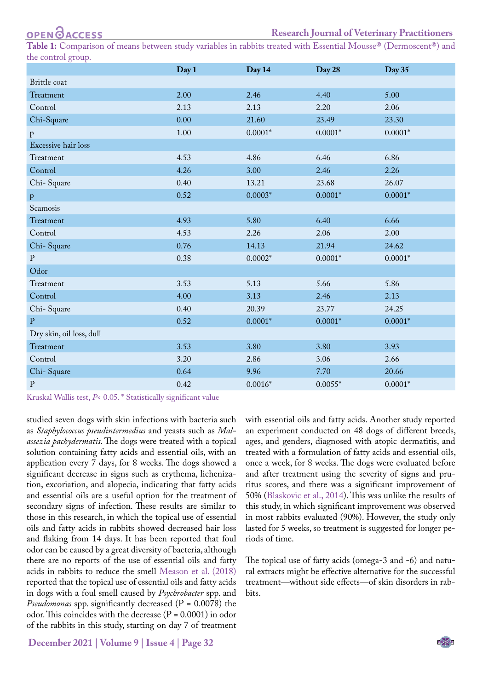**OPENOACCESS** 

**Table 1:** Comparison of means between study variables in rabbits treated with Essential Mousse® (Dermoscent®) and the control group.

|                          | Day 1 | Day 14    | Day 28    | Day 35    |
|--------------------------|-------|-----------|-----------|-----------|
| Brittle coat             |       |           |           |           |
| Treatment                | 2.00  | 2.46      | 4.40      | 5.00      |
| Control                  | 2.13  | 2.13      | 2.20      | 2.06      |
| Chi-Square               | 0.00  | 21.60     | 23.49     | 23.30     |
| $\, {\bf p}$             | 1.00  | $0.0001*$ | $0.0001*$ | $0.0001*$ |
| Excessive hair loss      |       |           |           |           |
| Treatment                | 4.53  | 4.86      | 6.46      | 6.86      |
| Control                  | 4.26  | 3.00      | 2.46      | 2.26      |
| Chi-Square               | 0.40  | 13.21     | 23.68     | 26.07     |
| $\mathbf{p}$             | 0.52  | $0.0003*$ | $0.0001*$ | $0.0001*$ |
| Scamosis                 |       |           |           |           |
| Treatment                | 4.93  | 5.80      | 6.40      | 6.66      |
| Control                  | 4.53  | 2.26      | 2.06      | 2.00      |
| Chi-Square               | 0.76  | 14.13     | 21.94     | 24.62     |
| $\mathbf P$              | 0.38  | $0.0002*$ | $0.0001*$ | $0.0001*$ |
| Odor                     |       |           |           |           |
| Treatment                | 3.53  | 5.13      | 5.66      | 5.86      |
| Control                  | 4.00  | 3.13      | 2.46      | 2.13      |
| Chi-Square               | 0.40  | 20.39     | 23.77     | 24.25     |
| ${\bf P}$                | 0.52  | $0.0001*$ | $0.0001*$ | $0.0001*$ |
| Dry skin, oil loss, dull |       |           |           |           |
| Treatment                | 3.53  | 3.80      | 3.80      | 3.93      |
| Control                  | 3.20  | 2.86      | 3.06      | 2.66      |
| Chi-Square               | 0.64  | 9.96      | 7.70      | 20.66     |
| ${\bf P}$                | 0.42  | $0.0016*$ | $0.0055*$ | $0.0001*$ |

Kruskal Wallis test, *P*< 0.05. \* Statistically significant value

studied seven dogs with skin infections with bacteria such as *Staphylococcus pseudintermedius* and yeasts such as *Malassezia pachydermatis*. The dogs were treated with a topical solution containing fatty acids and essential oils, with an application every 7 days, for 8 weeks. The dogs showed a significant decrease in signs such as erythema, lichenization, excoriation, and alopecia, indicating that fatty acids and essential oils are a useful option for the treatment of secondary signs of infection. These results are similar to those in this research, in which the topical use of essential oils and fatty acids in rabbits showed decreased hair loss and flaking from 14 days. It has been reported that foul odor can be caused by a great diversity of bacteria, although there are no reports of the use of essential oils and fatty acids in rabbits to reduce the smell Meason et al. (2018) reported that the topical use of essential oils and fatty acids in dogs with a foul smell caused by *Psychrobacter* spp. and *Pseudomonas* spp. significantly decreased (P = 0.0078) the odor. This coincides with the decrease  $(P = 0.0001)$  in odor of the rabbits in this study, starting on day 7 of treatment

with essential oils and fatty acids. Another study reported an experiment conducted on 48 dogs of different breeds, ages, and genders, diagnosed with atopic dermatitis, and treated with a formulation of fatty acids and essential oils, once a week, for 8 weeks. The dogs were evaluated before and after treatment using the severity of signs and pruritus scores, and there was a significant improvement of 50% ([Blaskovic et al., 2014](#page-3-12)). This was unlike the results of this study, in which significant improvement was observed in most rabbits evaluated (90%). However, the study only lasted for 5 weeks, so treatment is suggested for longer periods of time.

The topical use of fatty acids (omega-3 and -6) and natural extracts might be effective alternative for the successful treatment—without side effects—of skin disorders in rabbits.